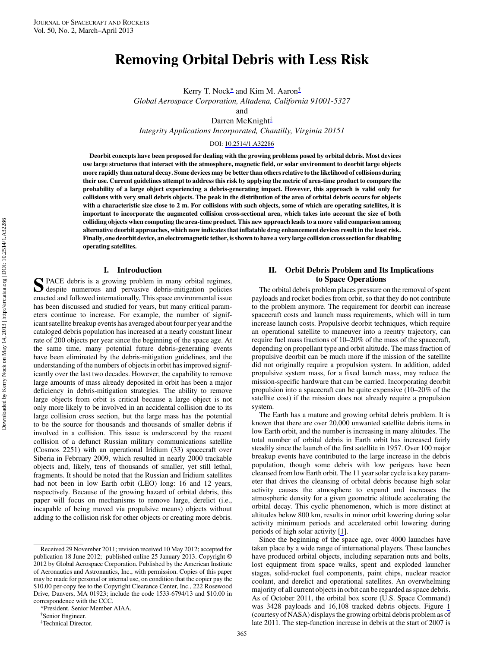# Removing Orbital Debris with Less Risk

Kerry T. Nock<sup>∗</sup> and Kim M. Aaron†

Global Aerospace Corporation, Altadena, California 91001-5327

and

Darren McKnight<sup>‡</sup> Integrity Applications Incorporated, Chantilly, Virginia 20151

DOI: [10.2514/1.A32286](http://dx.doi.org/10.2514/1.A32286)

Deorbit concepts have been proposed for dealing with the growing problems posed by orbital debris. Most devices use large structures that interact with the atmosphere, magnetic field, or solar environment to deorbit large objects more rapidly than natural decay. Some devices may be better than others relative to the likelihood of collisions during their use. Current guidelines attempt to address this risk by applying the metric of area-time product to compare the probability of a large object experiencing a debris-generating impact. However, this approach is valid only for collisions with very small debris objects. The peak in the distribution of the area of orbital debris occurs for objects with a characteristic size close to 2 m. For collisions with such objects, some of which are operating satellites, it is important to incorporate the augmented collision cross-sectional area, which takes into account the size of both colliding objects when computing the area-time product. This new approach leads to a more valid comparison among alternative deorbit approaches, which now indicates that inflatable drag enhancement devices result in the least risk. Finally, one deorbit device, an electromagnetic tether, is shown to have a very large collision cross section for disabling operating satellites.

# I. Introduction

SPACE debris is a growing problem in many orbital regimes,<br>despite numerous and pervasive debris-mitigation policies enacted and followed internationally. This space environmental issue has been discussed and studied for years, but many critical parameters continue to increase. For example, the number of significant satellite breakup events has averaged about four per year and the cataloged debris population has increased at a nearly constant linear rate of 200 objects per year since the beginning of the space age. At the same time, many potential future debris-generating events have been eliminated by the debris-mitigation guidelines, and the understanding of the numbers of objects in orbit has improved significantly over the last two decades. However, the capability to remove large amounts of mass already deposited in orbit has been a major deficiency in debris-mitigation strategies. The ability to remove large objects from orbit is critical because a large object is not only more likely to be involved in an accidental collision due to its large collision cross section, but the large mass has the potential to be the source for thousands and thousands of smaller debris if involved in a collision. This issue is underscored by the recent collision of a defunct Russian military communications satellite (Cosmos 2251) with an operational Iridium (33) spacecraft over Siberia in February 2009, which resulted in nearly 2000 trackable objects and, likely, tens of thousands of smaller, yet still lethal, fragments. It should be noted that the Russian and Iridium satellites had not been in low Earth orbit (LEO) long: 16 and 12 years, respectively. Because of the growing hazard of orbital debris, this paper will focus on mechanisms to remove large, derelict (i.e., incapable of being moved via propulsive means) objects without adding to the collision risk for other objects or creating more debris.

# II. Orbit Debris Problem and Its Implications to Space Operations

The orbital debris problem places pressure on the removal of spent payloads and rocket bodies from orbit, so that they do not contribute to the problem anymore. The requirement for deorbit can increase spacecraft costs and launch mass requirements, which will in turn increase launch costs. Propulsive deorbit techniques, which require an operational satellite to maneuver into a reentry trajectory, can require fuel mass fractions of 10–20% of the mass of the spacecraft, depending on propellant type and orbit altitude. The mass fraction of propulsive deorbit can be much more if the mission of the satellite did not originally require a propulsion system. In addition, added propulsive system mass, for a fixed launch mass, may reduce the mission-specific hardware that can be carried. Incorporating deorbit propulsion into a spacecraft can be quite expensive (10–20% of the satellite cost) if the mission does not already require a propulsion system.

The Earth has a mature and growing orbital debris problem. It is known that there are over 20,000 unwanted satellite debris items in low Earth orbit, and the number is increasing in many altitudes. The total number of orbital debris in Earth orbit has increased fairly steadily since the launch of the first satellite in 1957. Over 100 major breakup events have contributed to the large increase in the debris population, though some debris with low perigees have been cleansed from low Earth orbit. The 11 year solar cycle is a key parameter that drives the cleansing of orbital debris because high solar activity causes the atmosphere to expand and increases the atmospheric density for a given geometric altitude accelerating the orbital decay. This cyclic phenomenon, which is more distinct at altitudes below 800 km, results in minor orbit lowering during solar activity minimum periods and accelerated orbit lowering during periods of high solar activity [\[1\]](#page-14-0).

Since the beginning of the space age, over 4000 launches have taken place by a wide range of international players. These launches have produced orbital objects, including separation nuts and bolts, lost equipment from space walks, spent and exploded launcher stages, solid-rocket fuel components, paint chips, nuclear reactor coolant, and derelict and operational satellites. An overwhelming majority of all current objects in orbit can be regarded as space debris. As of October 2011, the orbital box score (U.S. Space Command) was 3428 payloads and 16,108 tracked debris objects. Figure [1](#page-1-0) (courtesy of NASA) displays the growing orbital debris problem as of late 2011. The step-function increase in debris at the start of 2007 is

Received 29 November 2011; revision received 10 May 2012; accepted for publication 18 June 2012; published online 25 January 2013. Copyright © 2012 by Global Aerospace Corporation. Published by the American Institute of Aeronautics and Astronautics, Inc., with permission. Copies of this paper may be made for personal or internal use, on condition that the copier pay the \$10.00 per-copy fee to the Copyright Clearance Center, Inc., 222 Rosewood Drive, Danvers, MA 01923; include the code 1533-6794/13 and \$10.00 in correspondence with the CCC.

<sup>\*</sup>President. Senior Member AIAA.

<sup>†</sup> Senior Engineer.

<sup>‡</sup> Technical Director.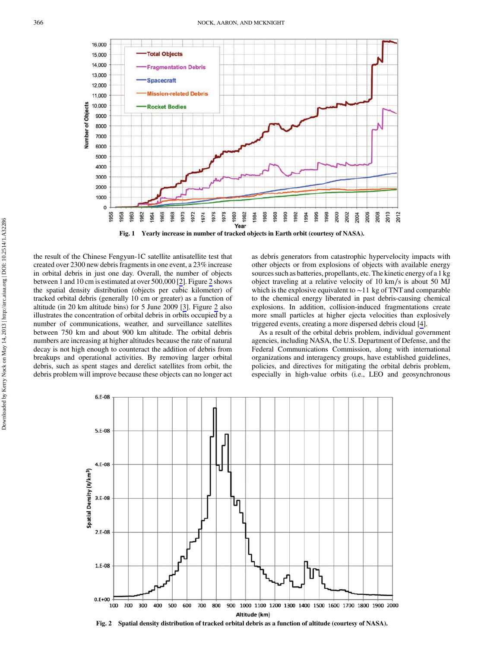<span id="page-1-0"></span>

the result of the Chinese Fengyun-1C satellite antisatellite test that

created over 2300 new debris fragments in one event, a 23% increase in orbital debris in just one day. Overall, the number of objects between 1 and 10 cm is estimated at over 500,000 [[2\]](#page-14-0). Figure 2 shows the spatial density distribution (objects per cubic kilometer) of tracked orbital debris (generally 10 cm or greater) as a function of altitude (in 20 km altitude bins) for 5 June 2009 [[3](#page-14-0)]. Figure 2 also illustrates the concentration of orbital debris in orbits occupied by a number of communications, weather, and surveillance satellites between 750 km and about 900 km altitude. The orbital debris numbers are increasing at higher altitudes because the rate of natural decay is not high enough to counteract the addition of debris from breakups and operational activities. By removing larger orbital debris, such as spent stages and derelict satellites from orbit, the debris problem will improve because these objects can no longer act as debris generators from catastrophic hypervelocity impacts with other objects or from explosions of objects with available energy sources such as batteries, propellants, etc. The kinetic energy of a 1 kg object traveling at a relative velocity of 10 km∕s is about 50 MJ which is the explosive equivalent to <sup>∼</sup>11 kg of TNT and comparable to the chemical energy liberated in past debris-causing chemical explosions. In addition, collision-induced fragmentations create more small particles at higher ejecta velocities than explosively triggered events, creating a more dispersed debris cloud [\[4\]](#page-14-0).

As a result of the orbital debris problem, individual government agencies, including NASA, the U.S. Department of Defense, and the Federal Communications Commission, along with international organizations and interagency groups, have established guidelines, policies, and directives for mitigating the orbital debris problem, especially in high-value orbits (i.e., LEO and geosynchronous



Fig. 2 Spatial density distribution of tracked orbital debris as a function of altitude (courtesy of NASA).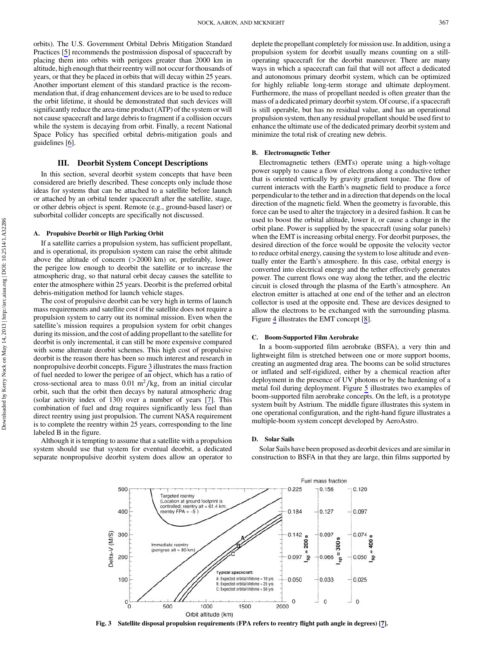orbits). The U.S. Government Orbital Debris Mitigation Standard Practices [\[5\]](#page-14-0) recommends the postmission disposal of spacecraft by placing them into orbits with perigees greater than 2000 km in altitude, high enough that their reentry will not occur for thousands of years, or that they be placed in orbits that will decay within 25 years. Another important element of this standard practice is the recommendation that, if drag enhancement devices are to be used to reduce the orbit lifetime, it should be demonstrated that such devices will significantly reduce the area-time product (ATP) of the system or will not cause spacecraft and large debris to fragment if a collision occurs while the system is decaying from orbit. Finally, a recent National Space Policy has specified orbital debris-mitigation goals and guidelines [\[6\]](#page-14-0).

### III. Deorbit System Concept Descriptions

In this section, several deorbit system concepts that have been considered are briefly described. These concepts only include those ideas for systems that can be attached to a satellite before launch or attached by an orbital tender spacecraft after the satellite, stage, or other debris object is spent. Remote (e.g., ground-based laser) or suborbital collider concepts are specifically not discussed.

### A. Propulsive Deorbit or High Parking Orbit

If a satellite carries a propulsion system, has sufficient propellant, and is operational, its propulsion system can raise the orbit altitude above the altitude of concern (*>*2000 km) or, preferably, lower the perigee low enough to deorbit the satellite or to increase the atmospheric drag, so that natural orbit decay causes the satellite to enter the atmosphere within 25 years. Deorbit is the preferred orbital debris-mitigation method for launch vehicle stages.

The cost of propulsive deorbit can be very high in terms of launch mass requirements and satellite cost if the satellite does not require a propulsion system to carry out its nominal mission. Even when the satellite's mission requires a propulsion system for orbit changes during its mission, and the cost of adding propellant to the satellite for deorbit is only incremental, it can still be more expensive compared with some alternate deorbit schemes. This high cost of propulsive deorbit is the reason there has been so much interest and research in nonpropulsive deorbit concepts. Figure 3 illustrates the mass fraction of fuel needed to lower the perigee of an object, which has a ratio of cross-sectional area to mass  $0.01 \text{ m}^2/\text{kg}$ , from an initial circular orbit, such that the orbit then decays by natural atmospheric drag (solar activity index of 130) over a number of years [[7](#page-14-0)]. This combination of fuel and drag requires significantly less fuel than direct reentry using just propulsion. The current NASA requirement is to complete the reentry within 25 years, corresponding to the line labeled B in the figure.

Although it is tempting to assume that a satellite with a propulsion system should use that system for eventual deorbit, a dedicated separate nonpropulsive deorbit system does allow an operator to

> Targeted reentry (Location at ground footprint is controlled; reentry alt = 61.4 km

Immediate reentry (perigree alt =  $80$  km

500

500

400

300

200

100

 $0_0^{\dagger}$ 

Delta-V (M/S)

deplete the propellant completely for mission use. In addition, using a propulsion system for deorbit usually means counting on a stilloperating spacecraft for the deorbit maneuver. There are many ways in which a spacecraft can fail that will not affect a dedicated and autonomous primary deorbit system, which can be optimized for highly reliable long-term storage and ultimate deployment. Furthermore, the mass of propellant needed is often greater than the mass of a dedicated primary deorbit system. Of course, if a spacecraft is still operable, but has no residual value, and has an operational propulsion system, then any residual propellant should be used first to enhance the ultimate use of the dedicated primary deorbit system and minimize the total risk of creating new debris.

# B. Electromagnetic Tether

Electromagnetic tethers (EMTs) operate using a high-voltage power supply to cause a flow of electrons along a conductive tether that is oriented vertically by gravity gradient torque. The flow of current interacts with the Earth's magnetic field to produce a force perpendicular to the tether and in a direction that depends on the local direction of the magnetic field. When the geometry is favorable, this force can be used to alter the trajectory in a desired fashion. It can be used to boost the orbital altitude, lower it, or cause a change in the orbit plane. Power is supplied by the spacecraft (using solar panels) when the EMT is increasing orbital energy. For deorbit purposes, the desired direction of the force would be opposite the velocity vector to reduce orbital energy, causing the system to lose altitude and eventually enter the Earth's atmosphere. In this case, orbital energy is converted into electrical energy and the tether effectively generates power. The current flows one way along the tether, and the electric circuit is closed through the plasma of the Earth's atmosphere. An electron emitter is attached at one end of the tether and an electron collector is used at the opposite end. These are devices designed to allow the electrons to be exchanged with the surrounding plasma. Figure [4](#page-3-0) illustrates the EMT concept [[8](#page-14-0)].

### C. Boom-Supported Film Aerobrake

In a boom-supported film aerobrake (BSFA), a very thin and lightweight film is stretched between one or more support booms, creating an augmented drag area. The booms can be solid structures or inflated and self-rigidized, either by a chemical reaction after deployment in the presence of UV photons or by the hardening of a metal foil during deployment. Figure [5](#page-3-0) illustrates two examples of boom-supported film aerobrake concepts. On the left, is a prototype system built by Astrium. The middle figure illustrates this system in one operational configuration, and the right-hand figure illustrates a multiple-boom system concept developed by AeroAstro.

# D. Solar Sails

Solar Sails have been proposed as deorbit devices and are similar in construction to BSFA in that they are large, thin films supported by

 $0.120$ 

0.097

 $0.074$  in

 $0.050 - R$ 

 $0.025$ 

 $\mathsf{O}\xspace$ 

400

Fuel mass fraction

0.156

 $0.127$ 

0.097

0.066

0.033

0

300

<sub>ទី</sub>

0.225

0.184

 $0.142$ 

 $0.097 \frac{1}{5}$ 

0.050

0

2000

 $\omega$ 

200

**Typical spacecraft:** A: Expected orbital lifetime = 10 yrs

1000

 $B: Expected orbital lifetime = 25 yrs$ <br>C: Expected orbital lifetime =  $25 yrs$ 

1500

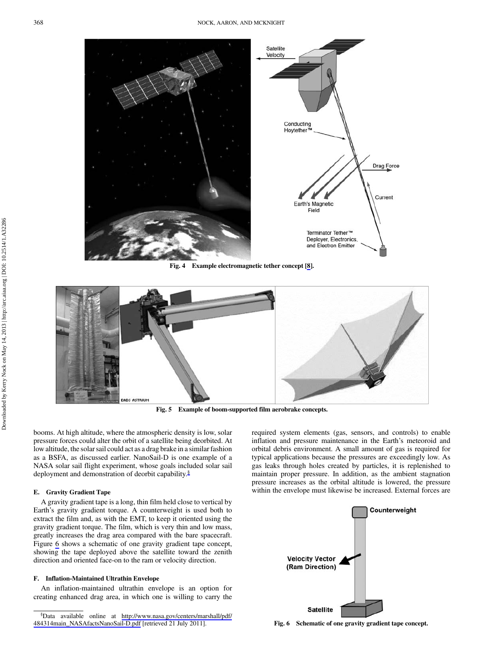<span id="page-3-0"></span>

Fig. 4 Example electromagnetic tether concept [\[8](#page-14-0)].



Fig. 5 Example of boom-supported film aerobrake concepts.

booms. At high altitude, where the atmospheric density is low, solar pressure forces could alter the orbit of a satellite being deorbited. At low altitude, the solar sail could act as a drag brake in a similar fashion as a BSFA, as discussed earlier. NanoSail-D is one example of a NASA solar sail flight experiment, whose goals included solar sail deployment and demonstration of deorbit capability.§

# E. Gravity Gradient Tape

A gravity gradient tape is a long, thin film held close to vertical by Earth's gravity gradient torque. A counterweight is used both to extract the film and, as with the EMT, to keep it oriented using the gravity gradient torque. The film, which is very thin and low mass, greatly increases the drag area compared with the bare spacecraft. Figure 6 shows a schematic of one gravity gradient tape concept, showing the tape deployed above the satellite toward the zenith direction and oriented face-on to the ram or velocity direction.

# F. Inflation-Maintained Ultrathin Envelope

An inflation-maintained ultrathin envelope is an option for creating enhanced drag area, in which one is willing to carry the required system elements (gas, sensors, and controls) to enable inflation and pressure maintenance in the Earth's meteoroid and orbital debris environment. A small amount of gas is required for typical applications because the pressures are exceedingly low. As gas leaks through holes created by particles, it is replenished to maintain proper pressure. In addition, as the ambient stagnation pressure increases as the orbital altitude is lowered, the pressure within the envelope must likewise be increased. External forces are



Fig. 6 Schematic of one gravity gradient tape concept.

<sup>§</sup> Data available online at [http://www.nasa.gov/centers/marshall/pdf/](http://www.nasa.gov/centers/marshall/pdf/484314main_NASAfactsNanoSail-D.pdf) [484314main\\_NASAfactsNanoSail-D.pdf](http://www.nasa.gov/centers/marshall/pdf/484314main_NASAfactsNanoSail-D.pdf) [retrieved 21 July 2011].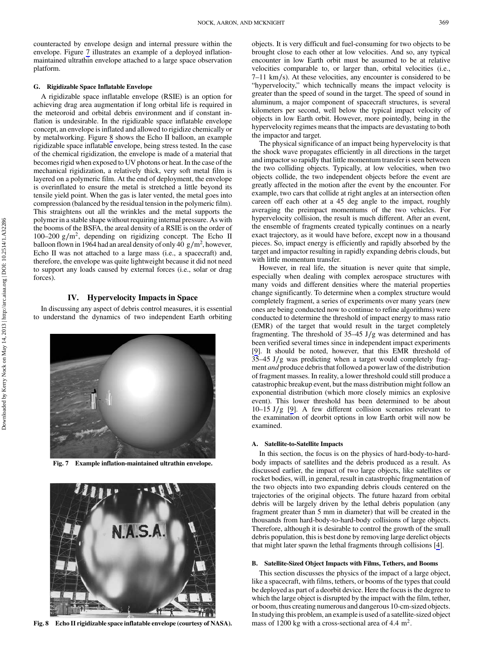<span id="page-4-0"></span>counteracted by envelope design and internal pressure within the envelope. Figure 7 illustrates an example of a deployed inflationmaintained ultrathin envelope attached to a large space observation platform.

### G. Rigidizable Space Inflatable Envelope

A rigidizable space inflatable envelope (RSIE) is an option for achieving drag area augmentation if long orbital life is required in the meteoroid and orbital debris environment and if constant inflation is undesirable. In the rigidizable space inflatable envelope concept, an envelope is inflated and allowed to rigidize chemically or by metalworking. Figure 8 shows the Echo II balloon, an example rigidizable space inflatable envelope, being stress tested. In the case of the chemical rigidization, the envelope is made of a material that becomes rigid when exposed to UV photons or heat. In the case of the mechanical rigidization, a relatively thick, very soft metal film is layered on a polymeric film. At the end of deployment, the envelope is overinflated to ensure the metal is stretched a little beyond its tensile yield point. When the gas is later vented, the metal goes into compression (balanced by the residual tension in the polymeric film). This straightens out all the wrinkles and the metal supports the polymer in a stable shape without requiring internal pressure. As with the booms of the BSFA, the areal density of a RSIE is on the order of <sup>100</sup>–200 g∕m<sup>2</sup>, depending on rigidizing concept. The Echo II balloon flown in 1964 had an areal density of only 40 g/m<sup>2</sup>, however,<br>Echo II was not attached to a large mass (i.e. a spacecraft) and Echo II was not attached to a large mass (i.e., a spacecraft) and, therefore, the envelope was quite lightweight because it did not need to support any loads caused by external forces (i.e., solar or drag forces).

# IV. Hypervelocity Impacts in Space

In discussing any aspect of debris control measures, it is essential to understand the dynamics of two independent Earth orbiting



Example inflation-maintained ultrathin envelope.



Fig. 8 Echo II rigidizable space inflatable envelope (courtesy of NASA).

objects. It is very difficult and fuel-consuming for two objects to be brought close to each other at low velocities. And so, any typical encounter in low Earth orbit must be assumed to be at relative velocities comparable to, or larger than, orbital velocities (i.e., 7–11 km∕s). At these velocities, any encounter is considered to be "hypervelocity," which technically means the impact velocity is greater than the speed of sound in the target. The speed of sound in aluminum, a major component of spacecraft structures, is several kilometers per second, well below the typical impact velocity of objects in low Earth orbit. However, more pointedly, being in the hypervelocity regimes means that the impacts are devastating to both the impactor and target.

The physical significance of an impact being hypervelocity is that the shock wave propagates efficiently in all directions in the target and impactor so rapidly that little momentum transfer is seen between the two colliding objects. Typically, at low velocities, when two objects collide, the two independent objects before the event are greatly affected in the motion after the event by the encounter. For example, two cars that collide at right angles at an intersection often careen off each other at a 45 deg angle to the impact, roughly averaging the preimpact momentums of the two vehicles. For hypervelocity collision, the result is much different. After an event, the ensemble of fragments created typically continues on a nearly exact trajectory, as it would have before, except now in a thousand pieces. So, impact energy is efficiently and rapidly absorbed by the target and impactor resulting in rapidly expanding debris clouds, but with little momentum transfer.

However, in real life, the situation is never quite that simple, especially when dealing with complex aerospace structures with many voids and different densities where the material properties change significantly. To determine when a complex structure would completely fragment, a series of experiments over many years (new ones are being conducted now to continue to refine algorithms) were conducted to determine the threshold of impact energy to mass ratio (EMR) of the target that would result in the target completely fragmenting. The threshold of 35–45 J∕g was determined and has been verified several times since in independent impact experiments [\[9\]](#page-14-0). It should be noted, however, that this EMR threshold of 35–45 J∕g was predicting when a target would completely fragment *and* produce debris that followed a power law of the distribution of fragment masses. In reality, a lower threshold could still produce a catastrophic breakup event, but the mass distribution might follow an exponential distribution (which more closely mimics an explosive event). This lower threshold has been determined to be about 10–15 J∕g [[9](#page-14-0)]. A few different collision scenarios relevant to the examination of deorbit options in low Earth orbit will now be examined.

### A. Satellite-to-Satellite Impacts

In this section, the focus is on the physics of hard-body-to-hardbody impacts of satellites and the debris produced as a result. As discussed earlier, the impact of two large objects, like satellites or rocket bodies, will, in general, result in catastrophic fragmentation of the two objects into two expanding debris clouds centered on the trajectories of the original objects. The future hazard from orbital debris will be largely driven by the lethal debris population (any fragment greater than 5 mm in diameter) that will be created in the thousands from hard-body-to-hard-body collisions of large objects. Therefore, although it is desirable to control the growth of the small debris population, this is best done by removing large derelict objects that might later spawn the lethal fragments through collisions [\[4\]](#page-14-0).

### B. Satellite-Sized Object Impacts with Films, Tethers, and Booms

This section discusses the physics of the impact of a large object, like a spacecraft, with films, tethers, or booms of the types that could be deployed as part of a deorbit device. Here the focus is the degree to which the large object is disrupted by the impact with the film, tether, or boom, thus creating numerous and dangerous 10-cm-sized objects. In studying this problem, an example is used of a satellite-sized object mass of 1200 kg with a cross-sectional area of 4.4  $m<sup>2</sup>$ .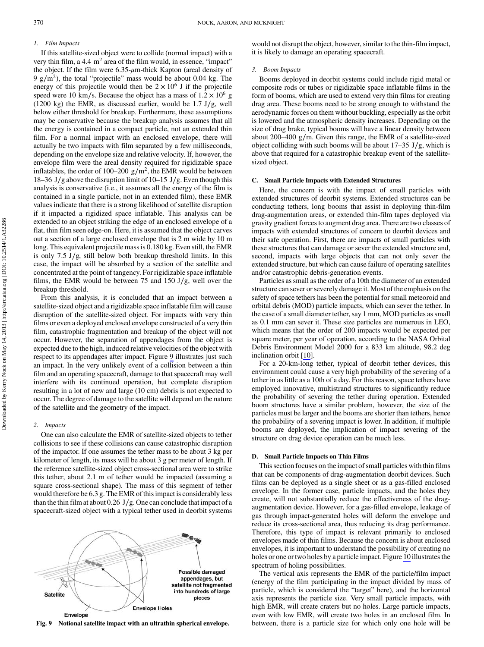# 1. Film Impacts

If this satellite-sized object were to collide (normal impact) with a very thin film, a  $4.4 \text{ m}^2$  area of the film would, in essence, "impact" the object. If the film were  $6.35$ - $\mu$ m-thick Kapton (areal density of 9 g∕m2), the total "projectile" mass would be about 0.04 kg. The energy of this projectile would then be  $2 \times 10^6$  J if the projectile speed were 10 km/s. Because the object has a mass of  $1.2 \times 10^6$  g (1200 kg) the EMR, as discussed earlier, would be 1.7 J∕g, well below either threshold for breakup. Furthermore, these assumptions may be conservative because the breakup analysis assumes that all the energy is contained in a compact particle, not an extended thin film. For a normal impact with an enclosed envelope, there will actually be two impacts with film separated by a few milliseconds, depending on the envelope size and relative velocity. If, however, the envelope film were the areal density required for rigidizable space inflatables, the order of 100–200  $g/m^2$ , the EMR would be between 18–36 J∕g above the disruption limit of 10–15 J∕g. Even though this analysis is conservative (i.e., it assumes all the energy of the film is contained in a single particle, not in an extended film), these EMR values indicate that there is a strong likelihood of satellite disruption if it impacted a rigidized space inflatable. This analysis can be extended to an object striking the edge of an enclosed envelope of a flat, thin film seen edge-on. Here, it is assumed that the object carves out a section of a large enclosed envelope that is 2 m wide by 10 m long. This equivalent projectile mass is 0.180 kg. Even still, the EMR is only 7.5 J∕g, still below both breakup threshold limits. In this case, the impact will be absorbed by a section of the satellite and concentrated at the point of tangency. For rigidizable space inflatable films, the EMR would be between 75 and 150 J/g, well over the breakup threshold.

From this analysis, it is concluded that an impact between a satellite-sized object and a rigidizable space inflatable film will cause disruption of the satellite-sized object. For impacts with very thin films or even a deployed enclosed envelope constructed of a very thin film, catastrophic fragmentation and breakup of the object will not occur. However, the separation of appendages from the object is expected due to the high, induced relative velocities of the object with respect to its appendages after impact. Figure 9 illustrates just such an impact. In the very unlikely event of a collision between a thin film and an operating spacecraft, damage to that spacecraft may well interfere with its continued operation, but complete disruption resulting in a lot of new and large (10 cm) debris is not expected to occur. The degree of damage to the satellite will depend on the nature of the satellite and the geometry of the impact.

### 2. Impacts

One can also calculate the EMR of satellite-sized objects to tether collisions to see if these collisions can cause catastrophic disruption of the impactor. If one assumes the tether mass to be about 3 kg per kilometer of length, its mass will be about 3 g per meter of length. If the reference satellite-sized object cross-sectional area were to strike this tether, about 2.1 m of tether would be impacted (assuming a square cross-sectional shape). The mass of this segment of tether would therefore be 6.3 g. The EMR of this impact is considerably less than the thin film at about 0.26 J∕g. One can conclude that impact of a spacecraft-sized object with a typical tether used in deorbit systems



would not disrupt the object, however, similar to the thin-film impact, it is likely to damage an operating spacecraft.

### 3. Boom Impacts

Booms deployed in deorbit systems could include rigid metal or composite rods or tubes or rigidizable space inflatable films in the form of booms, which are used to extend very thin films for creating drag area. These booms need to be strong enough to withstand the aerodynamic forces on them without buckling, especially as the orbit is lowered and the atmospheric density increases. Depending on the size of drag brake, typical booms will have a linear density between about 200–400 g∕m. Given this range, the EMR of a satellite-sized object colliding with such booms will be about 17–35 J∕g, which is above that required for a catastrophic breakup event of the satellitesized object.

### C. Small Particle Impacts with Extended Structures

Here, the concern is with the impact of small particles with extended structures of deorbit systems. Extended structures can be conducting tethers, long booms that assist in deploying thin-film drag-augmentation areas, or extended thin-film tapes deployed via gravity gradient forces to augment drag area. There are two classes of impacts with extended structures of concern to deorbit devices and their safe operation. First, there are impacts of small particles with these structures that can damage or sever the extended structure and, second, impacts with large objects that can not only sever the extended structure, but which can cause failure of operating satellites and/or catastrophic debris-generation events.

Particles as small as the order of a 10th the diameter of an extended structure can sever or severely damage it. Most of the emphasis on the safety of space tethers has been the potential for small meteoroid and orbital debris (MOD) particle impacts, which can sever the tether. In the case of a small diameter tether, say 1 mm, MOD particles as small as 0.1 mm can sever it. These size particles are numerous in LEO, which means that the order of 200 impacts would be expected per square meter, per year of operation, according to the NASA Orbital Debris Environment Model 2000 for a 833 km altitude, 98.2 deg inclination orbit [\[10](#page-14-0)].

For a 20-km-long tether, typical of deorbit tether devices, this environment could cause a very high probability of the severing of a tether in as little as a 10th of a day. For this reason, space tethers have employed innovative, multistrand structures to significantly reduce the probability of severing the tether during operation. Extended boom structures have a similar problem, however, the size of the particles must be larger and the booms are shorter than tethers, hence the probability of a severing impact is lower. In addition, if multiple booms are deployed, the implication of impact severing of the structure on drag device operation can be much less.

### D. Small Particle Impacts on Thin Films

This section focuses on the impact of small particles with thin films that can be components of drag-augmentation deorbit devices. Such films can be deployed as a single sheet or as a gas-filled enclosed envelope. In the former case, particle impacts, and the holes they create, will not substantially reduce the effectiveness of the dragaugmentation device. However, for a gas-filled envelope, leakage of gas through impact-generated holes will deform the envelope and reduce its cross-sectional area, thus reducing its drag performance. Therefore, this type of impact is relevant primarily to enclosed envelopes made of thin films. Because the concern is about enclosed envelopes, it is important to understand the possibility of creating no holes or one or two holes by a particle impact. Figure [10](#page-6-0) illustrates the spectrum of holing possibilities.

The vertical axis represents the EMR of the particle/film impact (energy of the film participating in the impact divided by mass of particle, which is considered the "target" here), and the horizontal axis represents the particle size. Very small particle impacts, with high EMR, will create craters but no holes. Large particle impacts, even with low EMR, will create two holes in an enclosed film. In Fig. 9 Notional satellite impact with an ultrathin spherical envelope. between, there is a particle size for which only one hole will be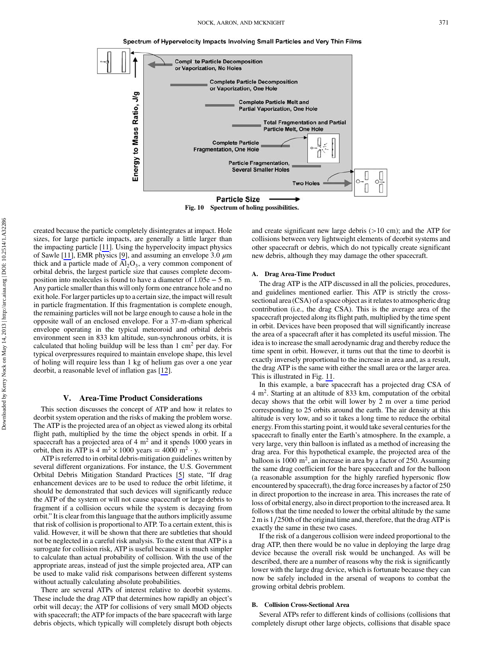Spectrum of Hypervelocity Impacts Involving Small Particles and Very Thin Films

<span id="page-6-0"></span>

Fig. 10 Spectrum of holing possibilities.

created because the particle completely disintegrates at impact. Hole sizes, for large particle impacts, are generally a little larger than the impacting particle [\[11](#page-14-0)]. Using the hypervelocity impact physics of Sawle [[11\]](#page-14-0), EMR physics [[9](#page-14-0)], and assuming an envelope 3.0  $\mu$ m thick and a particle made of  $Al_2O_3$ , a very common component of orbital debris, the largest particle size that causes complete decomposition into molecules is found to have a diameter of 1.05e <sup>−</sup> 5 m. Any particle smaller than this will only form one entrance hole and no exit hole. For larger particles up to a certain size, the impact will result in particle fragmentation. If this fragmentation is complete enough, the remaining particles will not be large enough to cause a hole in the opposite wall of an enclosed envelope. For a 37-m-diam spherical envelope operating in the typical meteoroid and orbital debris environment seen in 833 km altitude, sun-synchronous orbits, it is calculated that holing buildup will be less than  $1 \text{ cm}^2$  per day. For typical overpressures required to maintain envelope shape, this level of holing will require less than 1 kg of helium gas over a one year deorbit, a reasonable level of inflation gas [\[12](#page-14-0)].

### V. Area-Time Product Considerations

This section discusses the concept of ATP and how it relates to deorbit system operation and the risks of making the problem worse. The ATP is the projected area of an object as viewed along its orbital flight path, multiplied by the time the object spends in orbit. If a spacecraft has a projected area of  $4 \text{ m}^2$  and it spends 1000 years in orbit, then its ATP is 4 m<sup>2</sup>  $\times$  1000 years = 4000 m<sup>2</sup> · y.

ATP is referred to in orbital debris-mitigation guidelines written by several different organizations. For instance, the U.S. Government Orbital Debris Mitigation Standard Practices [[5](#page-14-0)] state, "If drag enhancement devices are to be used to reduce the orbit lifetime, it should be demonstrated that such devices will significantly reduce the ATP of the system or will not cause spacecraft or large debris to fragment if a collision occurs while the system is decaying from orbit." It is clear from this language that the authors implicitly assume that risk of collision is proportional to ATP. To a certain extent, this is valid. However, it will be shown that there are subtleties that should not be neglected in a careful risk analysis. To the extent that ATP is a surrogate for collision risk, ATP is useful because it is much simpler to calculate than actual probability of collision. With the use of the appropriate areas, instead of just the simple projected area, ATP can be used to make valid risk comparisons between different systems without actually calculating absolute probabilities.

There are several ATPs of interest relative to deorbit systems. These include the drag ATP that determines how rapidly an object's orbit will decay; the ATP for collisions of very small MOD objects with spacecraft; the ATP for impacts of the bare spacecraft with large debris objects, which typically will completely disrupt both objects and create significant new large debris (*>*10 cm); and the ATP for collisions between very lightweight elements of deorbit systems and other spacecraft or debris, which do not typically create significant new debris, although they may damage the other spacecraft.

### A. Drag Area-Time Product

The drag ATP is the ATP discussed in all the policies, procedures, and guidelines mentioned earlier. This ATP is strictly the crosssectional area (CSA) of a space object as it relates to atmospheric drag contribution (i.e., the drag CSA). This is the average area of the spacecraft projected along its flight path, multiplied by the time spent in orbit. Devices have been proposed that will significantly increase the area of a spacecraft after it has completed its useful mission. The idea is to increase the small aerodynamic drag and thereby reduce the time spent in orbit. However, it turns out that the time to deorbit is exactly inversely proportional to the increase in area and, as a result, the drag ATP is the same with either the small area or the larger area. This is illustrated in Fig. [11.](#page-7-0)

In this example, a bare spacecraft has a projected drag CSA of 4 m<sup>2</sup>. Starting at an altitude of 833 km, computation of the orbital decay shows that the orbit will lower by 2 m over a time period corresponding to 25 orbits around the earth. The air density at this altitude is very low, and so it takes a long time to reduce the orbital energy. From this starting point, it would take several centuries for the spacecraft to finally enter the Earth's atmosphere. In the example, a very large, very thin balloon is inflated as a method of increasing the drag area. For this hypothetical example, the projected area of the balloon is 1000  $\mathrm{m}^2$ , an increase in area by a factor of 250. Assuming the same drag coefficient for the bare spacecraft and for the balloon (a reasonable assumption for the highly rarefied hypersonic flow encountered by spacecraft), the drag force increases by a factor of 250 in direct proportion to the increase in area. This increases the rate of loss of orbital energy, also in direct proportion to the increased area. It follows that the time needed to lower the orbital altitude by the same 2 m is 1∕250th of the original time and, therefore, that the drag ATP is exactly the same in these two cases.

If the risk of a dangerous collision were indeed proportional to the drag ATP, then there would be no value in deploying the large drag device because the overall risk would be unchanged. As will be described, there are a number of reasons why the risk is significantly lower with the large drag device, which is fortunate because they can now be safely included in the arsenal of weapons to combat the growing orbital debris problem.

### B. Collision Cross-Sectional Area

Several ATPs refer to different kinds of collisions (collisions that completely disrupt other large objects, collisions that disable space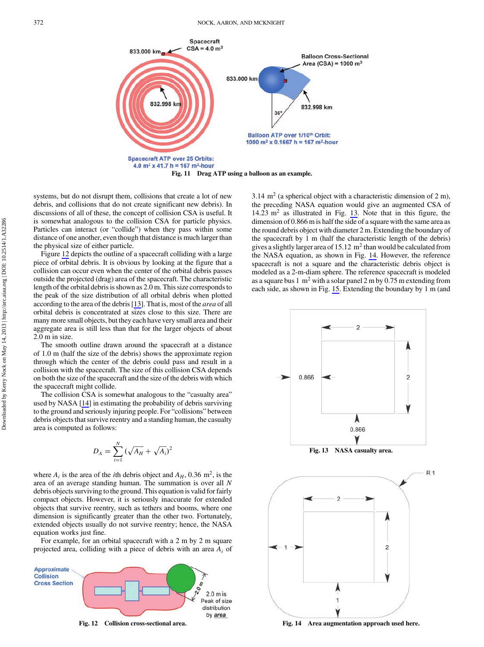<span id="page-7-0"></span>

systems, but do not disrupt them, collisions that create a lot of new debris, and collisions that do not create significant new debris). In discussions of all of these, the concept of collision CSA is useful. It is somewhat analogous to the collision CSA for particle physics. Particles can interact (or "collide") when they pass within some distance of one another, even though that distance is much larger than the physical size of either particle.

Figure 12 depicts the outline of a spacecraft colliding with a large piece of orbital debris. It is obvious by looking at the figure that a collision can occur even when the center of the orbital debris passes outside the projected (drag) area of the spacecraft. The characteristic length of the orbital debris is shown as 2.0 m. This size corresponds to the peak of the size distribution of all orbital debris when plotted according to the area of the debris [[13\]](#page-14-0). That is, most of the area of all orbital debris is concentrated at sizes close to this size. There are many more small objects, but they each have very small area and their aggregate area is still less than that for the larger objects of about 2.0 m in size.

The smooth outline drawn around the spacecraft at a distance of 1.0 m (half the size of the debris) shows the approximate region through which the center of the debris could pass and result in a collision with the spacecraft. The size of this collision CSA depends on both the size of the spacecraft and the size of the debris with which the spacecraft might collide.

The collision CSA is somewhat analogous to the "casualty area" used by NASA [[14\]](#page-14-0) in estimating the probability of debris surviving to the ground and seriously injuring people. For "collisions" between debris objects that survive reentry and a standing human, the casualty area is computed as follows:

$$
D_A = \sum_{i=1}^N \left(\sqrt{A_H} + \sqrt{A_i}\right)^2
$$

where  $A_i$  is the area of the *i*th debris object and  $A_H$ , 0.36 m<sup>2</sup>, is the area of an average standing human. The summation is over all *N* debris objects surviving to the ground. This equation is valid for fairly compact objects. However, it is seriously inaccurate for extended objects that survive reentry, such as tethers and booms, where one dimension is significantly greater than the other two. Fortunately, extended objects usually do not survive reentry; hence, the NASA equation works just fine.

For example, for an orbital spacecraft with a 2 m by 2 m square projected area, colliding with a piece of debris with an area *Ai* of



Fig. 12 Collision cross-sectional area.

3.14  $m<sup>2</sup>$  (a spherical object with a characteristic dimension of 2 m), the preceding NASA equation would give an augmented CSA of 14.23  $m<sup>2</sup>$  as illustrated in Fig. 13. Note that in this figure, the dimension of 0.866 m is half the side of a square with the same area as the round debris object with diameter 2 m. Extending the boundary of the spacecraft by 1 m (half the characteristic length of the debris) gives a slightly larger area of  $15.12 \text{ m}^2$  than would be calculated from the NASA equation, as shown in Fig. 14. However, the reference spacecraft is not a square and the characteristic debris object is modeled as a 2-m-diam sphere. The reference spacecraft is modeled as a square bus 1  $m<sup>2</sup>$  with a solar panel 2 m by 0.75 m extending from each side, as shown in Fig. [15](#page-8-0). Extending the boundary by 1 m (and



Fig. 14 Area augmentation approach used here.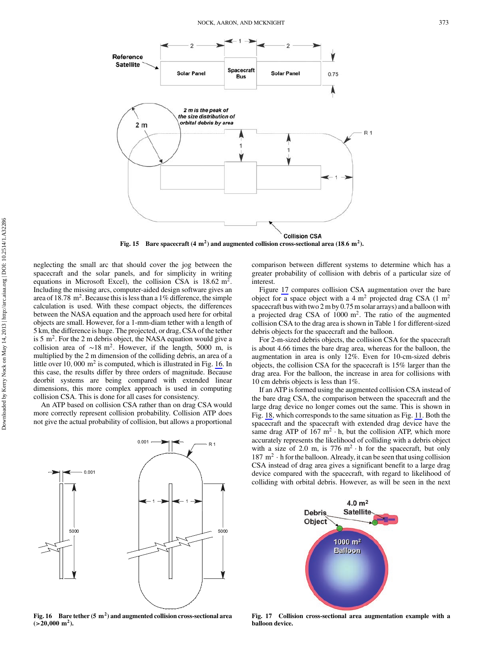<span id="page-8-0"></span>

Fig. 15 Bare spacecraft  $(4 \text{ m}^2)$  and augmented collision cross-sectional area  $(18.6 \text{ m}^2)$ .

neglecting the small arc that should cover the jog between the spacecraft and the solar panels, and for simplicity in writing equations in Microsoft Excel), the collision CSA is  $18.62 \text{ m}^2$ . Including the missing arcs, computer-aided design software gives an area of 18.78 m<sup>2</sup>. Because this is less than a 1% difference, the simple calculation is used. With these compact objects, the differences between the NASA equation and the approach used here for orbital objects are small. However, for a 1-mm-diam tether with a length of 5 km, the difference is huge. The projected, or drag, CSA of the tether is  $5 \text{ m}^2$ . For the 2 m debris object, the NASA equation would give a collision area of ~18 m<sup>2</sup>. However, if the length, 5000 m, is multiplied by the 2 m dimension of the colliding debris, an area of a little over 10,000 m<sup>2</sup> is computed, which is illustrated in Fig. 16. In this case, the results differ by three orders of magnitude. Because deorbit systems are being compared with extended linear dimensions, this more complex approach is used in computing collision CSA. This is done for all cases for consistency.

An ATP based on collision CSA rather than on drag CSA would more correctly represent collision probability. Collision ATP does not give the actual probability of collision, but allows a proportional

 $0.001$  $R<sub>1</sub>$  $0.001$ 5000 5000

Fig. 16 Bare tether  $(5 \text{ m}^2)$  and augmented collision cross-sectional area  $(\geq 20,000 \text{ m}^2)$ .

comparison between different systems to determine which has a greater probability of collision with debris of a particular size of interest.

Figure 17 compares collision CSA augmentation over the bare object for a space object with a 4 m<sup>2</sup> projected drag CSA (1 m<sup>2</sup> spacecraft bus with two 2 m by 0.75 m solar arrays) and a balloon with a projected drag CSA of 1000 m2. The ratio of the augmented collision CSA to the drag area is shown in Table 1 for different-sized debris objects for the spacecraft and the balloon.

For 2-m-sized debris objects, the collision CSA for the spacecraft is about 4.66 times the bare drag area, whereas for the balloon, the augmentation in area is only 12%. Even for 10-cm-sized debris objects, the collision CSA for the spacecraft is 15% larger than the drag area. For the balloon, the increase in area for collisions with 10 cm debris objects is less than 1%.

If an ATP is formed using the augmented collision CSA instead of the bare drag CSA, the comparison between the spacecraft and the large drag device no longer comes out the same. This is shown in Fig. [18](#page-9-0), which corresponds to the same situation as Fig. [11](#page-7-0). Both the spacecraft and the spacecraft with extended drag device have the same drag ATP of  $167 \text{ m}^2 \cdot \text{h}$ , but the collision ATP, which more accurately represents the likelihood of colliding with a debris object with a size of 2.0 m, is 776  $m<sup>2</sup> \cdot h$  for the spacecraft, but only  $187 \text{ m}^2 \cdot \text{h}$  for the balloon. Already, it can be seen that using collision CSA instead of drag area gives a significant benefit to a large drag device compared with the spacecraft, with regard to likelihood of colliding with orbital debris. However, as will be seen in the next



Fig. 17 Collision cross-sectional area augmentation example with a balloon device.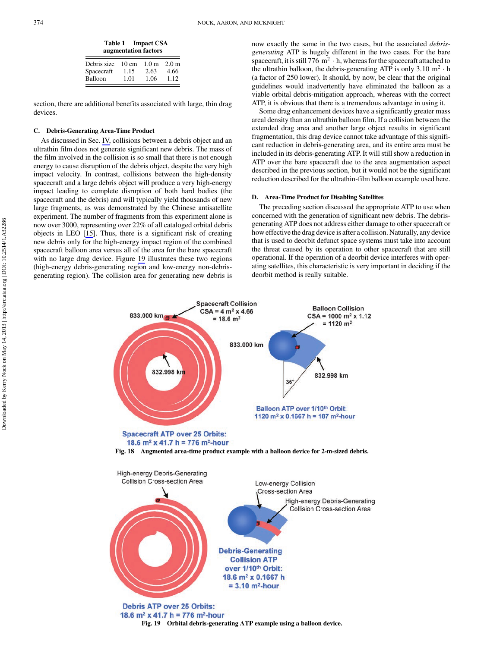Table 1 Impact CSA augmentation factors

<span id="page-9-0"></span>

| auginchiauvii Iacturs |                 |                  |                  |
|-----------------------|-----------------|------------------|------------------|
| Debris size           | $10 \text{ cm}$ | 1.0 <sub>m</sub> | 2.0 <sub>m</sub> |
| Spacecraft            | 1.15            | 2.63             | 4.66             |
| Balloon               | 1.01            | 1.06             | 1.12             |
|                       |                 |                  |                  |

section, there are additional benefits associated with large, thin drag devices.

# C. Debris-Generating Area-Time Product

As discussed in Sec. [IV,](#page-4-0) collisions between a debris object and an ultrathin film does not generate significant new debris. The mass of the film involved in the collision is so small that there is not enough energy to cause disruption of the debris object, despite the very high impact velocity. In contrast, collisions between the high-density spacecraft and a large debris object will produce a very high-energy impact leading to complete disruption of both hard bodies (the spacecraft and the debris) and will typically yield thousands of new large fragments, as was demonstrated by the Chinese antisatellite experiment. The number of fragments from this experiment alone is now over 3000, representing over 22% of all cataloged orbital debris objects in LEO [[15\]](#page-14-0). Thus, there is a significant risk of creating new debris only for the high-energy impact region of the combined spacecraft balloon area versus all of the area for the bare spacecraft with no large drag device. Figure 19 illustrates these two regions (high-energy debris-generating region and low-energy non-debrisgenerating region). The collision area for generating new debris is now exactly the same in the two cases, but the associated debrisgenerating ATP is hugely different in the two cases. For the bare spacecraft, it is still 776  $m^2 \cdot h$ , whereas for the spacecraft attached to the ultrathin balloon, the debris-generating ATP is only  $3.10 \text{ m}^2 \cdot \text{h}$ (a factor of 250 lower). It should, by now, be clear that the original guidelines would inadvertently have eliminated the balloon as a viable orbital debris-mitigation approach, whereas with the correct ATP, it is obvious that there is a tremendous advantage in using it.

Some drag enhancement devices have a significantly greater mass areal density than an ultrathin balloon film. If a collision between the extended drag area and another large object results in significant fragmentation, this drag device cannot take advantage of this significant reduction in debris-generating area, and its entire area must be included in its debris-generating ATP. It will still show a reduction in ATP over the bare spacecraft due to the area augmentation aspect described in the previous section, but it would not be the significant reduction described for the ultrathin-film balloon example used here.

### D. Area-Time Product for Disabling Satellites

The preceding section discussed the appropriate ATP to use when concerned with the generation of significant new debris. The debrisgenerating ATP does not address either damage to other spacecraft or how effective the drag device is after a collision. Naturally, any device that is used to deorbit defunct space systems must take into account the threat caused by its operation to other spacecraft that are still operational. If the operation of a deorbit device interferes with operating satellites, this characteristic is very important in deciding if the deorbit method is really suitable.

**Balloon Collision** 



**Spacecraft Collision**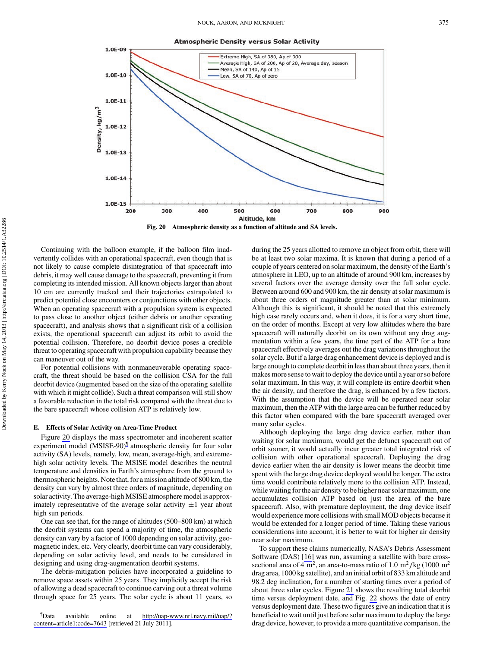

Fig. 20 Atmospheric density as a function of altitude and SA levels.

Continuing with the balloon example, if the balloon film inadvertently collides with an operational spacecraft, even though that is not likely to cause complete disintegration of that spacecraft into debris, it may well cause damage to the spacecraft, preventing it from completing its intended mission. All known objects larger than about 10 cm are currently tracked and their trajectories extrapolated to predict potential close encounters or conjunctions with other objects. When an operating spacecraft with a propulsion system is expected to pass close to another object (either debris or another operating spacecraft), and analysis shows that a significant risk of a collision exists, the operational spacecraft can adjust its orbit to avoid the potential collision. Therefore, no deorbit device poses a credible threat to operating spacecraft with propulsion capability because they can maneuver out of the way.

For potential collisions with nonmaneuverable operating spacecraft, the threat should be based on the collision CSA for the full deorbit device (augmented based on the size of the operating satellite with which it might collide). Such a threat comparison will still show a favorable reduction in the total risk compared with the threat due to the bare spacecraft whose collision ATP is relatively low.

### E. Effects of Solar Activity on Area-Time Product

Figure 20 displays the mass spectrometer and incoherent scatter experiment model (MSISE-90)¶ atmospheric density for four solar activity (SA) levels, namely, low, mean, average-high, and extremehigh solar activity levels. The MSISE model describes the neutral temperature and densities in Earth's atmosphere from the ground to thermospheric heights. Note that, for a mission altitude of 800 km, the density can vary by almost three orders of magnitude, depending on solar activity. The average-high MSISE atmosphere model is approximately representative of the average solar activity  $\pm 1$  year about high sun periods.

One can see that, for the range of altitudes (500–800 km) at which the deorbit systems can spend a majority of time, the atmospheric density can vary by a factor of 1000 depending on solar activity, geomagnetic index, etc. Very clearly, deorbit time can vary considerably, depending on solar activity level, and needs to be considered in designing and using drag-augmentation deorbit systems.

The debris-mitigation policies have incorporated a guideline to remove space assets within 25 years. They implicitly accept the risk of allowing a dead spacecraft to continue carving out a threat volume through space for 25 years. The solar cycle is about 11 years, so

during the 25 years allotted to remove an object from orbit, there will be at least two solar maxima. It is known that during a period of a couple of years centered on solar maximum, the density of the Earth's atmosphere in LEO, up to an altitude of around 900 km, increases by several factors over the average density over the full solar cycle. Between around 600 and 900 km, the air density at solar maximum is about three orders of magnitude greater than at solar minimum. Although this is significant, it should be noted that this extremely high case rarely occurs and, when it does, it is for a very short time, on the order of months. Except at very low altitudes where the bare spacecraft will naturally deorbit on its own without any drag augmentation within a few years, the time part of the ATP for a bare spacecraft effectively averages out the drag variations throughout the solar cycle. But if a large drag enhancement device is deployed and is large enough to complete deorbit in less than about three years, then it makes more sense to wait to deploy the device until a year or so before solar maximum. In this way, it will complete its entire deorbit when the air density, and therefore the drag, is enhanced by a few factors. With the assumption that the device will be operated near solar maximum, then the ATP with the large area can be further reduced by this factor when compared with the bare spacecraft averaged over many solar cycles.

Although deploying the large drag device earlier, rather than waiting for solar maximum, would get the defunct spacecraft out of orbit sooner, it would actually incur greater total integrated risk of collision with other operational spacecraft. Deploying the drag device earlier when the air density is lower means the deorbit time spent with the large drag device deployed would be longer. The extra time would contribute relatively more to the collision ATP. Instead, while waiting for the air density to be higher near solar maximum, one accumulates collision ATP based on just the area of the bare spacecraft. Also, with premature deployment, the drag device itself would experience more collisions with small MOD objects because it would be extended for a longer period of time. Taking these various considerations into account, it is better to wait for higher air density near solar maximum.

To support these claims numerically, NASA's Debris Assessment Software (DAS) [[16\]](#page-14-0) was run, assuming a satellite with bare crosssectional area of 4 m<sup>2</sup>, an area-to-mass ratio of 1.0 m<sup>2</sup>/kg (1000 m<sup>2</sup>) drag area, 1000 kg satellite), and an initial orbit of 833 km altitude and 98.2 deg inclination, for a number of starting times over a period of about three solar cycles. Figure [21](#page-11-0) shows the resulting total deorbit time versus deployment date, and Fig. [22](#page-11-0) shows the date of entry versus deployment date. These two figures give an indication that it is beneficial to wait until just before solar maximum to deploy the large drag device, however, to provide a more quantitative comparison, the

<sup>¶</sup> available online at [http://uap-www.nrl.navy.mil/uap/?](http://uap-www.nrl.navy.mil/uap/?content=article1;code=7643) [content=article1;code=7643](http://uap-www.nrl.navy.mil/uap/?content=article1;code=7643) [retrieved 21 July 2011].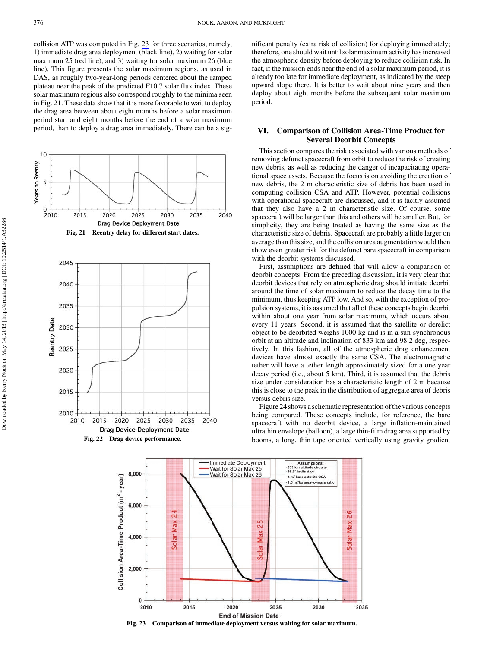<span id="page-11-0"></span>collision ATP was computed in Fig. 23 for three scenarios, namely, 1) immediate drag area deployment (black line), 2) waiting for solar maximum 25 (red line), and 3) waiting for solar maximum 26 (blue line). This figure presents the solar maximum regions, as used in DAS, as roughly two-year-long periods centered about the ramped plateau near the peak of the predicted F10.7 solar flux index. These solar maximum regions also correspond roughly to the minima seen in Fig. 21. These data show that it is more favorable to wait to deploy the drag area between about eight months before a solar maximum period start and eight months before the end of a solar maximum period, than to deploy a drag area immediately. There can be a sig-



nificant penalty (extra risk of collision) for deploying immediately; therefore, one should wait until solar maximum activity has increased the atmospheric density before deploying to reduce collision risk. In fact, if the mission ends near the end of a solar maximum period, it is already too late for immediate deployment, as indicated by the steep upward slope there. It is better to wait about nine years and then deploy about eight months before the subsequent solar maximum period.

# VI. Comparison of Collision Area-Time Product for Several Deorbit Concepts

This section compares the risk associated with various methods of removing defunct spacecraft from orbit to reduce the risk of creating new debris, as well as reducing the danger of incapacitating operational space assets. Because the focus is on avoiding the creation of new debris, the 2 m characteristic size of debris has been used in computing collision CSA and ATP. However, potential collisions with operational spacecraft are discussed, and it is tacitly assumed that they also have a 2 m characteristic size. Of course, some spacecraft will be larger than this and others will be smaller. But, for simplicity, they are being treated as having the same size as the characteristic size of debris. Spacecraft are probably a little larger on average than this size, and the collision area augmentation would then show even greater risk for the defunct bare spacecraft in comparison with the deorbit systems discussed.

First, assumptions are defined that will allow a comparison of deorbit concepts. From the preceding discussion, it is very clear that deorbit devices that rely on atmospheric drag should initiate deorbit around the time of solar maximum to reduce the decay time to the minimum, thus keeping ATP low. And so, with the exception of propulsion systems, it is assumed that all of these concepts begin deorbit within about one year from solar maximum, which occurs about every 11 years. Second, it is assumed that the satellite or derelict object to be deorbited weighs 1000 kg and is in a sun-synchronous orbit at an altitude and inclination of 833 km and 98.2 deg, respectively. In this fashion, all of the atmospheric drag enhancement devices have almost exactly the same CSA. The electromagnetic tether will have a tether length approximately sized for a one year decay period (i.e., about 5 km). Third, it is assumed that the debris size under consideration has a characteristic length of 2 m because this is close to the peak in the distribution of aggregate area of debris versus debris size.

Figure [24](#page-12-0) shows a schematic representation of the various concepts being compared. These concepts include, for reference, the bare spacecraft with no deorbit device, a large inflation-maintained ultrathin envelope (balloon), a large thin-film drag area supported by Fig. 22 Drag device performance. booms, a long, thin tape oriented vertically using gravity gradient



Fig. 23 Comparison of immediate deployment versus waiting for solar maximum.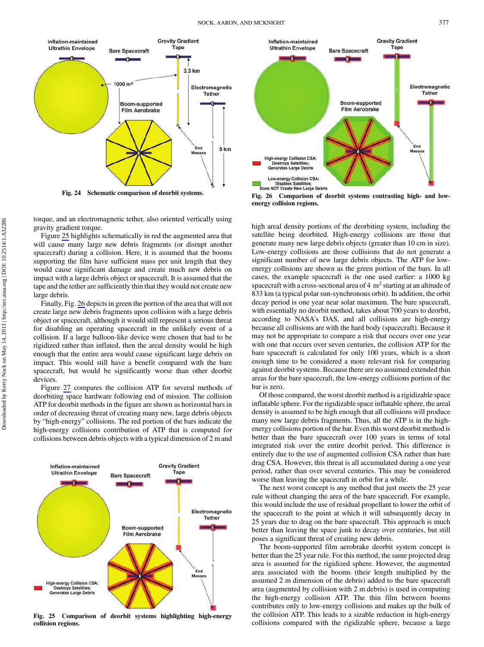<span id="page-12-0"></span>

Fig. 24 Schematic comparison of deorbit systems.

torque, and an electromagnetic tether, also oriented vertically using gravity gradient torque.

Figure 25 highlights schematically in red the augmented area that will cause many large new debris fragments (or disrupt another spacecraft) during a collision. Here, it is assumed that the booms supporting the film have sufficient mass per unit length that they would cause significant damage and create much new debris on impact with a large debris object or spacecraft. It is assumed that the tape and the tether are sufficiently thin that they would not create new large debris.

Finally, Fig. 26 depicts in green the portion of the area that will not create large new debris fragments upon collision with a large debris object or spacecraft, although it would still represent a serious threat for disabling an operating spacecraft in the unlikely event of a collision. If a large balloon-like device were chosen that had to be rigidized rather than inflated, then the areal density would be high enough that the entire area would cause significant large debris on impact. This would still have a benefit compared with the bare spacecraft, but would be significantly worse than other deorbit devices.

Figure [27](#page-13-0) compares the collision ATP for several methods of deorbiting space hardware following end of mission. The collision ATP for deorbit methods in the figure are shown as horizontal bars in order of decreasing threat of creating many new, large debris objects by "high-energy" collisions. The red portion of the bars indicate the high-energy collisions contribution of ATP that is computed for collisions between debris objects with a typical dimension of 2 m and



Fig. 25 Comparison of deorbit systems highlighting high-energy collision regions.



Fig. 26 Comparison of deorbit systems contrasting high- and lowenergy collision regions.

high areal density portions of the deorbiting system, including the satellite being deorbited. High-energy collisions are those that generate many new large debris objects (greater than 10 cm in size). Low-energy collisions are those collisions that do not generate a significant number of new large debris objects. The ATP for lowenergy collisions are shown as the green portion of the bars. In all cases, the example spacecraft is the one used earlier: a 1000 kg spacecraft with a cross-sectional area of  $4 \text{ m}^2$  starting at an altitude of 833 km (a typical polar sun-synchronous orbit). In addition, the orbit decay period is one year near solar maximum. The bare spacecraft, with essentially no deorbit method, takes about 700 years to deorbit, according to NASA's DAS, and all collisions are high-energy because all collisions are with the hard body (spacecraft). Because it may not be appropriate to compare a risk that occurs over one year with one that occurs over seven centuries, the collision ATP for the bare spacecraft is calculated for only 100 years, which is a short enough time to be considered a more relevant risk for comparing against deorbit systems. Because there are no assumed extended thin areas for the bare spacecraft, the low-energy collisions portion of the bar is zero.

Of those compared, the worst deorbit method is a rigidizable space inflatable sphere. For the rigidizable space inflatable sphere, the areal density is assumed to be high enough that all collisions will produce many new large debris fragments. Thus, all the ATP is in the highenergy collisions portion of the bar. Even this worst deorbit method is better than the bare spacecraft over 100 years in terms of total integrated risk over the entire deorbit period. This difference is entirely due to the use of augmented collision CSA rather than bare drag CSA. However, this threat is all accumulated during a one year period, rather than over several centuries. This may be considered worse than leaving the spacecraft in orbit for a while.

The next worst concept is any method that just meets the 25 year rule without changing the area of the bare spacecraft. For example, this would include the use of residual propellant to lower the orbit of the spacecraft to the point at which it will subsequently decay in 25 years due to drag on the bare spacecraft. This approach is much better than leaving the space junk to decay over centuries, but still poses a significant threat of creating new debris.

The boom-supported film aerobrake deorbit system concept is better than the 25 year rule. For this method, the same projected drag area is assumed for the rigidized sphere. However, the augmented area associated with the booms (their length multiplied by the assumed 2 m dimension of the debris) added to the bare spacecraft area (augmented by collision with 2 m debris) is used in computing the high-energy collision ATP. The thin film between booms contributes only to low-energy collisions and makes up the bulk of the collision ATP. This leads to a sizable reduction in high-energy collisions compared with the rigidizable sphere, because a large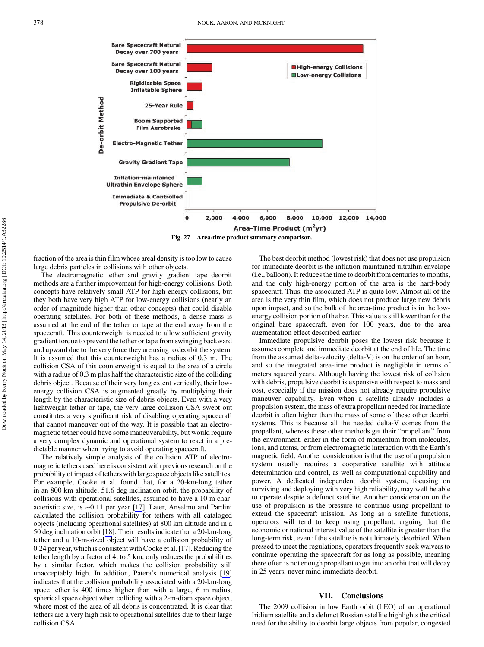<span id="page-13-0"></span>

fraction of the area is thin film whose areal density is too low to cause large debris particles in collisions with other objects.

The electromagnetic tether and gravity gradient tape deorbit methods are a further improvement for high-energy collisions. Both concepts have relatively small ATP for high-energy collisions, but they both have very high ATP for low-energy collisions (nearly an order of magnitude higher than other concepts) that could disable operating satellites. For both of these methods, a dense mass is assumed at the end of the tether or tape at the end away from the spacecraft. This counterweight is needed to allow sufficient gravity gradient torque to prevent the tether or tape from swinging backward and upward due to the very force they are using to deorbit the system. It is assumed that this counterweight has a radius of 0.3 m. The collision CSA of this counterweight is equal to the area of a circle with a radius of 0.3 m plus half the characteristic size of the colliding debris object. Because of their very long extent vertically, their lowenergy collision CSA is augmented greatly by multiplying their length by the characteristic size of debris objects. Even with a very lightweight tether or tape, the very large collision CSA swept out constitutes a very significant risk of disabling operating spacecraft that cannot maneuver out of the way. It is possible that an electromagnetic tether could have some maneuverability, but would require a very complex dynamic and operational system to react in a predictable manner when trying to avoid operating spacecraft.

The relatively simple analysis of the collision ATP of electromagnetic tethers used here is consistent with previous research on the probability of impact of tethers with large space objects like satellites. For example, Cooke et al. found that, for a 20-km-long tether in an 800 km altitude, 51.6 deg inclination orbit, the probability of collisions with operational satellites, assumed to have a 10 m characteristic size, is <sup>∼</sup>0.11 per year [\[17](#page-14-0)]. Later, Anselmo and Pardini calculated the collision probability for tethers with all cataloged objects (including operational satellites) at 800 km altitude and in a 50 deg inclination orbit [[18\]](#page-14-0). Their results indicate that a 20-km-long tether and a 10-m-sized object will have a collision probability of 0.24 per year, which is consistent with Cooke et al. [[17\]](#page-14-0). Reducing the tether length by a factor of 4, to 5 km, only reduces the probabilities by a similar factor, which makes the collision probability still unacceptably high. In addition, Patera's numerical analysis [[19\]](#page-14-0) indicates that the collision probability associated with a 20-km-long space tether is 400 times higher than with a large, 6 m radius, spherical space object when colliding with a 2-m-diam space object, where most of the area of all debris is concentrated. It is clear that tethers are a very high risk to operational satellites due to their large collision CSA.

The best deorbit method (lowest risk) that does not use propulsion for immediate deorbit is the inflation-maintained ultrathin envelope (i.e., balloon). It reduces the time to deorbit from centuries to months, and the only high-energy portion of the area is the hard-body spacecraft. Thus, the associated ATP is quite low. Almost all of the area is the very thin film, which does not produce large new debris upon impact, and so the bulk of the area-time product is in the lowenergy collision portion of the bar. This value is still lower than for the original bare spacecraft, even for 100 years, due to the area augmentation effect described earlier.

Immediate propulsive deorbit poses the lowest risk because it assumes complete and immediate deorbit at the end of life. The time from the assumed delta-velocity (delta-V) is on the order of an hour, and so the integrated area-time product is negligible in terms of meters squared years. Although having the lowest risk of collision with debris, propulsive deorbit is expensive with respect to mass and cost, especially if the mission does not already require propulsive maneuver capability. Even when a satellite already includes a propulsion system, the mass of extra propellant needed for immediate deorbit is often higher than the mass of some of these other deorbit systems. This is because all the needed delta-V comes from the propellant, whereas these other methods get their "propellant" from the environment, either in the form of momentum from molecules, ions, and atoms, or from electromagnetic interaction with the Earth's magnetic field. Another consideration is that the use of a propulsion system usually requires a cooperative satellite with attitude determination and control, as well as computational capability and power. A dedicated independent deorbit system, focusing on surviving and deploying with very high reliability, may well be able to operate despite a defunct satellite. Another consideration on the use of propulsion is the pressure to continue using propellant to extend the spacecraft mission. As long as a satellite functions, operators will tend to keep using propellant, arguing that the economic or national interest value of the satellite is greater than the long-term risk, even if the satellite is not ultimately deorbited. When pressed to meet the regulations, operators frequently seek waivers to continue operating the spacecraft for as long as possible, meaning there often is not enough propellant to get into an orbit that will decay in 25 years, never mind immediate deorbit.

### VII. Conclusions

The 2009 collision in low Earth orbit (LEO) of an operational Iridium satellite and a defunct Russian satellite highlights the critical need for the ability to deorbit large objects from popular, congested